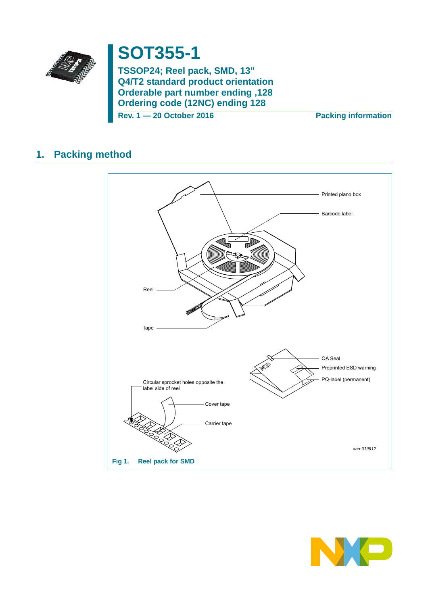

# **SOT355-1**

TSSOP24; Reel pack, SMD, 13" Q4/T2 standard product orientation 0rderable part number ending, 128 **Ordering code (12NC) ending 128** 

Rev. 1 - 20 October 2016

**Packing information** 

#### **Packing method**  $1.$



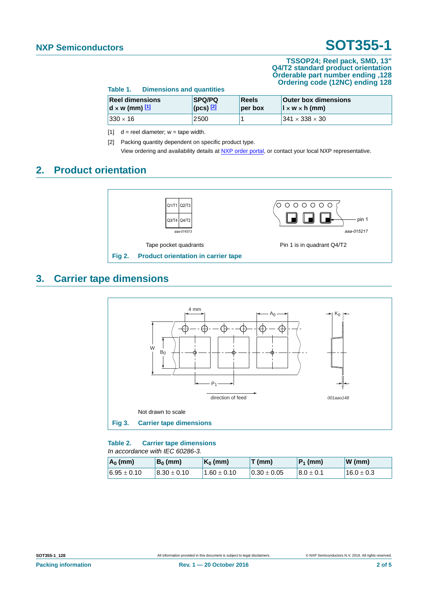#### **TSSOP24; Reel pack, SMD, 13" Q4/T2 standard product orientation Orderable part number ending ,128 Ordering code (12NC) ending 128**

| Table 1.                                        | <b>Dimensions and quantities</b> |                                                                                |  |                                                             |  |
|-------------------------------------------------|----------------------------------|--------------------------------------------------------------------------------|--|-------------------------------------------------------------|--|
| <b>Reel dimensions</b><br>$d \times w$ (mm) $1$ |                                  | <b>SPQ/PQ</b><br>Reels<br>$\left($ (pcs) $\left[\frac{2}{2}\right]$<br>per box |  | <b>Outer box dimensions</b><br>$\vert x \, w \times h$ (mm) |  |
| $ 330 \times 16$                                |                                  | $^{\circ}2500$                                                                 |  | $1341 \times 338 \times 30$                                 |  |

<span id="page-1-0"></span>[1]  $d =$  reel diameter;  $w =$  tape width.

<span id="page-1-1"></span>[2] Packing quantity dependent on specific product type. View ordering and availability details at [NXP order portal](http://www.nxp.com/order-portal/), or contact your local NXP representative.

### **2. Product orientation**



### **3. Carrier tape dimensions**



#### **Table 2. Carrier tape dimensions** *In accordance with IEC 60286-3.*

| $A_0$ (mm)      | $B_0$ (mm)      | $K_0$ (mm)    | T(mm)           | $P_1$ (mm)    | $W$ (mm)     |
|-----------------|-----------------|---------------|-----------------|---------------|--------------|
| $6.95 \pm 0.10$ | $8.30 \pm 0.10$ | $1.60\pm0.10$ | $0.30 \pm 0.05$ | $8.0 \pm 0.1$ | $16.0\pm0.3$ |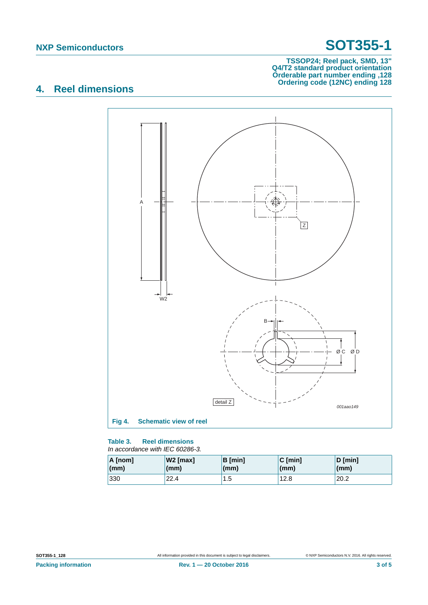#### **TSSOP24; Reel pack, SMD, 13" Q4/T2 standard product orientation Orderable part number ending ,128 Ordering code (12NC) ending 128**

## **4. Reel dimensions**



#### **Table 3. Reel dimensions** *In accordance with IEC 60286-3.*

| A [nom]         | W2 [max] | $\mathsf{B}\left[\mathsf{min}\right]$ | $C$ [min]       | $D$ [min]    |
|-----------------|----------|---------------------------------------|-----------------|--------------|
| $\mathsf{(mm)}$ | (mm)     | (mm)                                  | $\mathsf{(mm)}$ | $\mathsf{m}$ |
| 330             | 22.4     | 1.5                                   | 12.8            | 20.2         |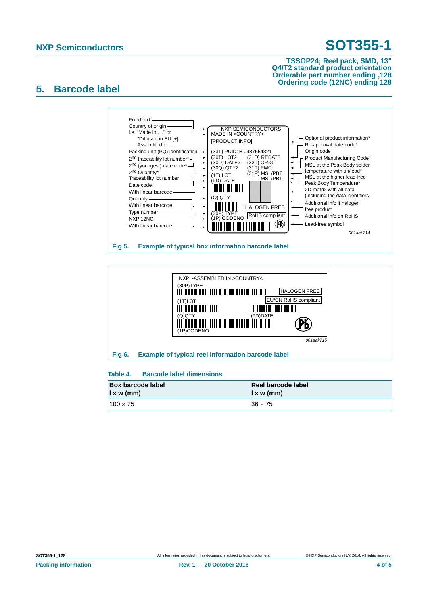#### **TSSOP24; Reel pack, SMD, 13" Q4/T2 standard product orientation Orderable part number ending ,128 Ordering code (12NC) ending 128**

### **5. Barcode label**



### **Table 4. Barcode label dimensions**

| <b>Box barcode label</b><br>$\vert \vert \times \mathsf{w}$ (mm) | Reel barcode label<br>$\vert x \rangle$ (mm) |  |
|------------------------------------------------------------------|----------------------------------------------|--|
| $100 \times 75$                                                  | $36 \times 75$                               |  |